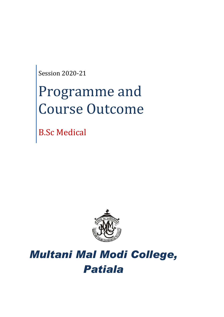Session 2020-21

# Programme and Course Outcome

B.Sc Medical



# *Multani Mal Modi College, Patiala*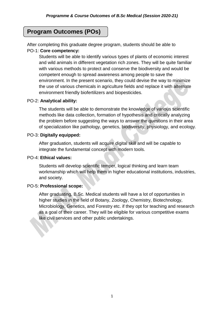# **Program Outcomes (POs)**

After completing this graduate degree program, students should be able to PO-1: **Core competency:**

Students will be able to identify various types of plants of economic interest and wild animals in different vegetation rich zones. They will be quite familiar with various methods to protect and conserve the biodiversity and would be competent enough to spread awareness among people to save the environment. In the present scenario, they could devise the way to minimize the use of various chemicals in agriculture fields and replace it with alternate environment friendly biofertilizers and biopesticides.

# PO-2: **Analytical ability:**

The students will be able to demonstrate the knowledge of various scientific methods like data collection, formation of hypothesis and critically analyzing the problem before suggesting the ways to answer the questions in their area of specialization like pathology, genetics, biodiversity, physiology, and ecology.

# PO-3: **Digitally equipped:**

After graduation, students will acquire digital skill and will be capable to integrate the fundamental concept with modern tools.

# PO-4: **Ethical values:**

Students will develop scientific temper, logical thinking and learn team workmanship which will help them in higher educational institutions, industries, and society.

### PO-5: **Professional scope:**

After graduating, B.Sc. Medical students will have a lot of opportunities in higher studies in the field of Botany, Zoology, Chemistry, Biotechnology, Microbiology, Genetics, and Forestry etc. if they opt for teaching and research as a goal of their career. They will be eligible for various competitive exams like civil services and other public undertakings.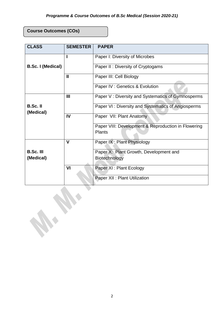# **Course Outcomes (COs)**

W. Dr.

| <b>CLASS</b>                  | <b>SEMESTER</b> | <b>PAPER</b>                                                         |
|-------------------------------|-----------------|----------------------------------------------------------------------|
| <b>B.Sc. I (Medical)</b>      |                 | Paper I: Diversity of Microbes                                       |
|                               |                 | Paper II: Diversity of Cryptogams                                    |
|                               | $\mathbf{I}$    | Paper III: Cell Biology                                              |
|                               |                 | Paper IV: Genetics & Evolution                                       |
| $B.Sc.$ II<br>(Medical)       | III             | Paper V: Diversity and Systematics of Gymnosperms                    |
|                               |                 | Paper VI: Diversity and Systematics of Angiosperms                   |
|                               | IV              | Paper VII: Plant Anatomy                                             |
|                               |                 | Paper VIII: Development & Reproduction in Flowering<br><b>Plants</b> |
|                               | $\mathbf v$     | Paper IX: Plant Physiology                                           |
| <b>B.Sc. III</b><br>(Medical) |                 | Paper X: Plant Growth, Development and<br>Biotechnology              |
|                               | VI              | Paper XI : Plant Ecology                                             |
|                               |                 | Paper XII : Plant Utilization                                        |
|                               |                 |                                                                      |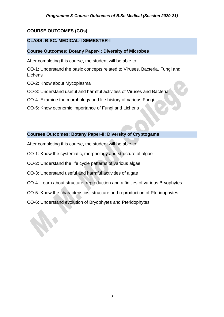# **COURSE OUTCOMES (COs)**

# **CLASS: B.SC. MEDICAL-I SEMESTER-I**

# **Course Outcomes: Botany Paper-I: Diversity of Microbes**

After completing this course, the student will be able to:

CO-1: Understand the basic concepts related to Viruses, Bacteria, Fungi and **Lichens** 

- CO-2: Know about Mycoplasma
- CO-3: Understand useful and harmful activities of Viruses and Bacteria
- CO-4: Examine the morphology and life history of various Fungi
- CO-5: Know economic importance of Fungi and Lichens

### **Courses Outcomes: Botany Paper-II: Diversity of Cryptogams**

After completing this course, the student will be able to:

- CO-1: Know the systematic, morphology and structure of algae
- CO-2: Understand the life cycle patterns of various algae
- CO-3: Understand useful and harmful activities of algae
- CO-4: Learn about structure, reproduction and affinities of various Bryophytes
- CO-5: Know the characteristics, structure and reproduction of Pteridophytes
- CO-6: Understand evolution of Bryophytes and Pteridophytes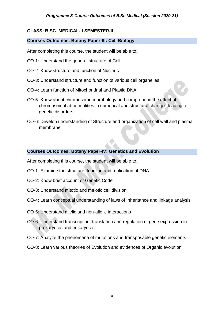# **CLASS: B.SC. MEDICAL- I SEMESTER-II**

# **Courses Outcomes: Botany Paper-III: Cell Biology**

After completing this course, the student will be able to:

- CO-1: Understand the general structure of Cell
- CO-2: Know structure and function of Nucleus
- CO-3: Understand structure and function of various cell organelles
- CO-4: Learn function of Mitochondrial and Plastid DNA
- CO-5: Know about chromosome morphology and comprehend the effect of chromosomal abnormalities in numerical and structural changes leading to genetic disorders
- CO-6: Develop understanding of Structure and organization of cell wall and plasma membrane

# **Courses Outcomes: Botany Paper-IV: Genetics and Evolution**

After completing this course, the student will be able to:

- CO-1: Examine the structure, function and replication of DNA
- CO-2: Know brief account of Genetic Code
- CO-3: Understand mitotic and meiotic cell division
- CO-4: Learn conceptual understanding of laws of Inheritance and linkage analysis
- CO-5: Understand allelic and non-allelic interactions
- CO-6: Understand transcription, translation and regulation of gene expression in prokaryotes and eukaryotes
- CO-7: Analyze the phenomena of mutations and transposable genetic elements
- CO-8: Learn various theories of Evolution and evidences of Organic evolution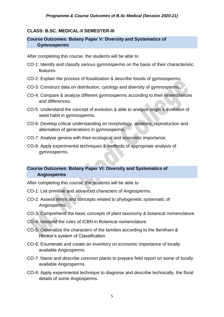# **CLASS: B.SC. MEDICAL-II SEMESTER-III**

# **Course Outcomes: Botany Paper V: Diversity and Systematics of Gymnosperms**

After completing this course, the students will be able to

- CO-1: Identify and classify various gymnosperms on the basis of their characteristic features.
- CO-2: Explain the process of fossilization & describe fossils of gymnosperms.
- CO-3: Construct data on distribution, cytology and diversity of gymnosperms.
- CO-4: Compare & analyze different gymnosperms according to their resemblances and differences.
- CO-5: Understand the concept of evolution & able to analyze origin & evolution of seed habit in gymnosperms.
- CO-6: Develop critical understanding on morphology, anatomy, reproduction and alternation of generations in gymnosperms.
- CO-7: Analyse genera with their ecological and economic importance.
- CO-8: Apply experimental techniques & methods of appropriate analysis of gymnosperms.

# **Course Outcomes: Botany Paper VI: Diversity and Systematics of Angiosperms**

After completing this course, the students will be able to

- CO-1: List primitive and advanced characters of Angiosperms.
- CO-2: Assess terms and concepts related to phylogenetic systematic of Angiosperms.
- CO-3: Comprehend the basic concepts of plant taxonomy & botanical nomenclature.
- CO-4: Interpret the rules of ICBN in Botanical nomenclature.
- CO-5: Generalize the characters of the families according to the Bentham & Hooker's system of Classification.
- CO-6: Enumerate and create an inventory on economic importance of locally available Angiosperms.
- CO-7: Name and describe common plants to prepare field report on some of locally available Angiosperms.
- CO-8: Apply experimental technique to diagnose and describe technically, the floral details of some Angiosperms.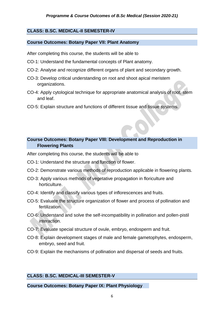# **CLASS: B.SC. MEDICAL-II SEMESTER-IV**

#### **Course Outcomes: Botany Paper VII: Plant Anatomy**

After completing this course, the students will be able to

- CO-1: Understand the fundamental concepts of Plant anatomy.
- CO-2: Analyse and recognize different organs of plant and secondary growth.
- CO-3: Develop critical understanding on root and shoot apical meristem organizations.
- CO-4: Apply cytological technique for appropriate anatomical analysis of root, stem and leaf.
- CO-5: Explain structure and functions of different tissue and tissue systems.

# **Course Outcomes: Botany Paper VIII: Development and Reproduction in Flowering Plants**

After completing this course, the students will be able to

- CO-1: Understand the structure and function of flower.
- CO-2: Demonstrate various methods of reproduction applicable in flowering plants.
- CO-3: Apply various methods of vegetative propagation in floriculture and horticulture.
- CO-4: Identify and classify various types of inflorescences and fruits.
- CO-5: Evaluate the structure organization of flower and process of pollination and fertilization.
- CO-6: Understand and solve the self-incompatibility in pollination and pollen-pistil interaction.
- CO-7: Evaluate special structure of ovule, embryo, endosperm and fruit.
- CO-8: Explain development stages of male and female gametophytes, endosperm, embryo, seed and fruit.
- CO-9: Explain the mechanisms of pollination and dispersal of seeds and fruits.

### **CLASS: B.SC. MEDICAL-III SEMESTER-V**

#### **Course Outcomes: Botany Paper IX: Plant Physiology**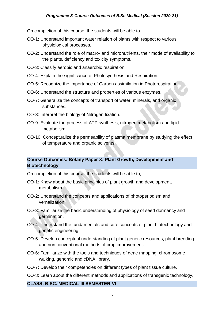### *Programme & Course Outcomes of B.Sc Medical (Session 2020-21)*

On completion of this course, the students will be able to

- CO-1: Understand important water relation of plants with respect to various physiological processes.
- CO-2: Understand the role of macro- and micronutrients, their mode of availability to the plants, deficiency and toxicity symptoms.
- CO-3: Classify aerobic and anaerobic respiration.
- CO-4: Explain the significance of Photosynthesis and Respiration.
- CO-5: Recognize the importance of Carbon assimilation in Photorespiration.
- CO-6: Understand the structure and properties of various enzymes.
- CO-7: Generalize the concepts of transport of water, minerals, and organic substances.
- CO-8: Interpret the biology of Nitrogen fixation.
- CO-9: Evaluate the process of ATP synthesis, nitrogen metabolism and lipid metabolism.
- CO-10: Conceptualize the permeability of plasma membrane by studying the effect of temperature and organic solvents.

# **Course Outcomes: Botany Paper X: Plant Growth, Development and Biotechnology**

On completion of this course, the students will be able to;

- CO-1: Know about the basic principles of plant growth and development, metabolism.
- CO-2: Understand the concepts and applications of photoperiodism and vernalization.
- CO-3: Familiarize the basic understanding of physiology of seed dormancy and germination.
- CO-4: Understand the fundamentals and core concepts of plant biotechnology and genetic engineering.
- CO-5: Develop conceptual understanding of plant genetic resources, plant breeding and non conventional methods of crop improvement.
- CO-6: Familiarize with the tools and techniques of gene mapping, chromosome walking, genomic and cDNA library.
- CO-7: Develop their competencies on different types of plant tissue culture.
- CO-8: Learn about the different methods and applications of transgenic technology.

#### **CLASS: B.SC. MEDICAL-III SEMESTER-VI**